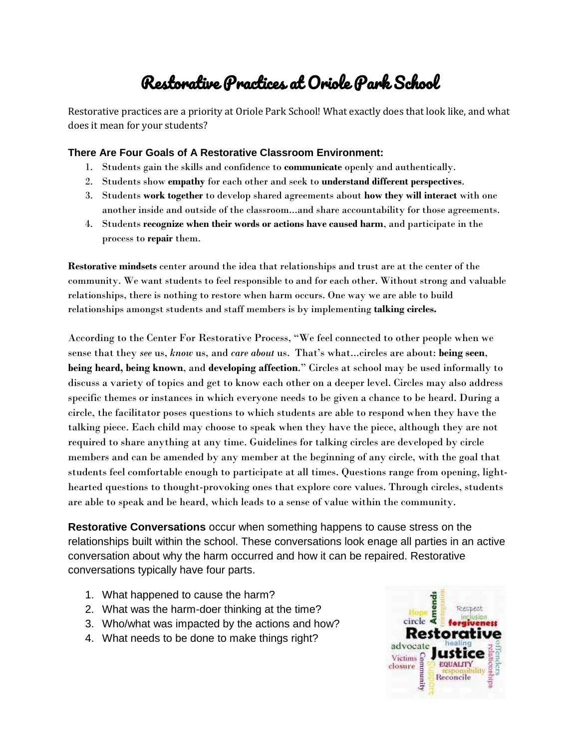## Restorative Practices at Oriole Park School

Restorative practices are a priority at Oriole Park School! What exactly does that look like, and what does it mean for your students?

## **There Are Four Goals of A Restorative Classroom Environment:**

- 1. Students gain the skills and confidence to **communicate** openly and authentically.
- 2. Students show **empathy** for each other and seek to **understand different perspectives**.
- 3. Students **work together** to develop shared agreements about **how they will interact** with one another inside and outside of the classroom...and share accountability for those agreements.
- 4. Students **recognize when their words or actions have caused harm**, and participate in the process to **repair** them.

**Restorative mindsets** center around the idea that relationships and trust are at the center of the community. We want students to feel responsible to and for each other. Without strong and valuable relationships, there is nothing to restore when harm occurs. One way we are able to build relationships amongst students and staff members is by implementing **talking circles.** 

According to the Center For Restorative Process, "We feel connected to other people when we sense that they *see* us, *know* us, and *care about* us. That's what...circles are about: **being seen**, **being heard, being known**, and **developing affection**." Circles at school may be used informally to discuss a variety of topics and get to know each other on a deeper level. Circles may also address specific themes or instances in which everyone needs to be given a chance to be heard. During a circle, the facilitator poses questions to which students are able to respond when they have the talking piece. Each child may choose to speak when they have the piece, although they are not required to share anything at any time. Guidelines for talking circles are developed by circle members and can be amended by any member at the beginning of any circle, with the goal that students feel comfortable enough to participate at all times. Questions range from opening, lighthearted questions to thought-provoking ones that explore core values. Through circles, students are able to speak and be heard, which leads to a sense of value within the community.

**Restorative Conversations** occur when something happens to cause stress on the relationships built within the school. These conversations look enage all parties in an active conversation about why the harm occurred and how it can be repaired. Restorative conversations typically have four parts.

- 1. What happened to cause the harm?
- 2. What was the harm-doer thinking at the time?
- 3. Who/what was impacted by the actions and how?
- 4. What needs to be done to make things right?